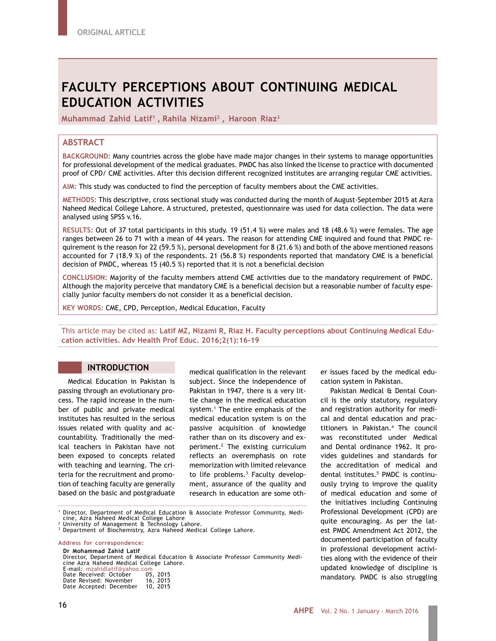# **FACULTY PERCEPTIONS ABOUT CONTINUING MEDICAL EDUCATION ACTIVITIES**

**Muhammad Zahid Latif1 , Rahila Nizami2 , Haroon Riaz3**

## **ABSTRACT**

**BACKGROUND:** Many countries across the globe have made major changes in their systems to manage opportunities for professional development of the medical graduates. PMDC has also linked the license to practice with documented proof of CPD/ CME activities. After this decision different recognized institutes are arranging regular CME activities.

**AIM:** This study was conducted to find the perception of faculty members about the CME activities.

**METHODS:** This descriptive, cross sectional study was conducted during the month of August-September 2015 at Azra Naheed Medical College Lahore. A structured, pretested, questionnaire was used for data collection. The data were analysed using SPSS v.16.

**RESULTS:** Out of 37 total participants in this study. 19 (51.4 %) were males and 18 (48.6 %) were females. The age ranges between 26 to 71 with a mean of 44 years. The reason for attending CME inquired and found that PMDC requirement is the reason for 22 (59.5 %), personal development for 8 (21.6 %) and both of the above mentioned reasons accounted for 7 (18.9 %) of the respondents. 21 (56.8 %) respondents reported that mandatory CME is a beneficial decision of PMDC, whereas 15 (40.5 %) reported that it is not a beneficial decision

**CONCLUSION:** Majority of the faculty members attend CME activities due to the mandatory requirement of PMDC. Although the majority perceive that mandatory CME is a beneficial decision but a reasonable number of faculty especially junior faculty members do not consider it as a beneficial decision.

**KEY WORDS:** CME, CPD, Perception, Medical Education, Faculty

This article may be cited as: **Latif MZ, Nizami R, Riaz H. Faculty perceptions about Continuing Medical Education activities. Adv Health Prof Educ. 2016;2(1):16-19**

#### **INTRODUCTION**

Medical Education in Pakistan is passing through an evolutionary process. The rapid increase in the number of public and private medical institutes has resulted in the serious issues related with quality and accountability. Traditionally the medical teachers in Pakistan have not been exposed to concepts related with teaching and learning. The criteria for the recruitment and promotion of teaching faculty are generally based on the basic and postgraduate

medical qualification in the relevant subject. Since the independence of Pakistan in 1947, there is a very little change in the medical education system.1 The entire emphasis of the medical education system is on the passive acquisition of knowledge rather than on its discovery and experiment.2 The existing curriculum reflects an overemphasis on rote memorization with limited relevance to life problems.<sup>3</sup> Faculty development, assurance of the quality and research in education are some oth-

<sup>1</sup> Director, Department of Medical Education & Associate Professor Community, Medi-<br>cine, Azra Naheed Medical College Lahore

**Address for correspondence:**

**Dr Mohammad Zahid Latif** Director, Department of Medical Education & Associate Professor Community Medi- cine Azra Naheed Medical College Lahore.

|  |  | cine Azra Naheed Medical College La |          |  |
|--|--|-------------------------------------|----------|--|
|  |  | E-mail: mzahidlatif@vahoo.com       |          |  |
|  |  | Date Received: October              | 05, 2015 |  |

| Date Revised: November<br>Date Accepted: December | ,<br>16, 2015<br>10, 2015 |
|---------------------------------------------------|---------------------------|
|                                                   |                           |

er issues faced by the medical education system in Pakistan.

Pakistan Medical & Dental Council is the only statutory, regulatory and registration authority for medical and dental education and practitioners in Pakistan.4 The council was reconstituted under Medical and Dental ordinance 1962. It provides guidelines and standards for the accreditation of medical and dental institutes.5 PMDC is continuously trying to improve the quality of medical education and some of the initiatives including Continuing Professional Development (CPD) are quite encouraging. As per the latest PMDC Amendment Act 2012, the documented participation of faculty in professional development activities along with the evidence of their updated knowledge of discipline is mandatory. PMDC is also struggling

cine, Azra Naheed Medical College Lahore<br><sup>2</sup> University of Management & Technology Lahore.

<sup>3</sup> Department of Biochemistry, Azra Naheed Medical College Lahore.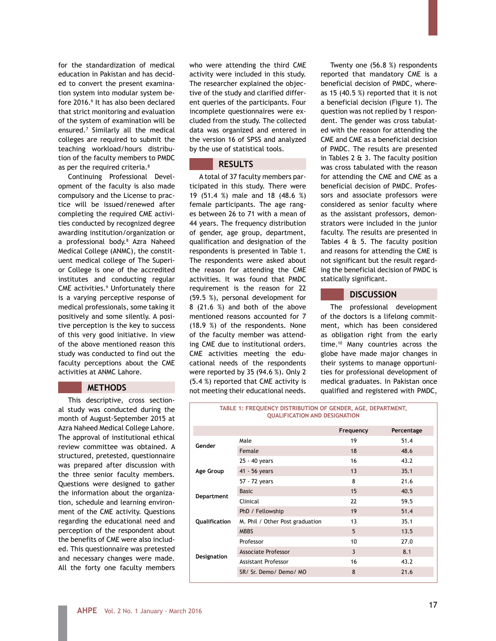for the standardization of medical education in Pakistan and has decided to convert the present examination system into modular system before 2016.<sup>6</sup> It has also been declared that strict monitoring and evaluation of the system of examination will be ensured.7 Similarly all the medical colleges are required to submit the teaching workload/hours distribution of the faculty members to PMDC as per the required criteria.<sup>8</sup>

Continuing Professional Development of the faculty is also made compulsory and the License to practice will be issued/renewed after completing the required CME activities conducted by recognized degree awarding institution/organization or a professional body.8 Azra Naheed Medical College (ANMC), the constituent medical college of The Superior College is one of the accredited institutes and conducting regular CME activities.<sup>9</sup> Unfortunately there is a varying perceptive response of medical professionals, some taking it positively and some silently. A positive perception is the key to success of this very good initiative. In view of the above mentioned reason this study was conducted to find out the faculty perceptions about the CME activities at ANMC Lahore.

#### **METHODS**

This descriptive, cross sectional study was conducted during the month of August-September 2015 at Azra Naheed Medical College Lahore. The approval of institutional ethical review committee was obtained. A structured, pretested, questionnaire was prepared after discussion with the three senior faculty members. Questions were designed to gather the information about the organization, schedule and learning environment of the CME activity. Questions regarding the educational need and perception of the respondent about the benefits of CME were also included. This questionnaire was pretested and necessary changes were made. All the forty one faculty members

who were attending the third CME activity were included in this study. The researcher explained the objective of the study and clarified different queries of the participants. Four incomplete questionnaires were excluded from the study. The collected data was organized and entered in the version 16 of SPSS and analyzed by the use of statistical tools.

### **RESULTS**

A total of 37 faculty members participated in this study. There were 19 (51.4 %) male and 18 (48.6 %) female participants. The age ranges between 26 to 71 with a mean of 44 years. The frequency distribution of gender, age group, department, qualification and designation of the respondents is presented in Table 1. The respondents were asked about the reason for attending the CME activities. It was found that PMDC requirement is the reason for 22 (59.5 %), personal development for 8 (21.6 %) and both of the above mentioned reasons accounted for 7 (18.9 %) of the respondents. None of the faculty member was attending CME due to institutional orders. CME activities meeting the educational needs of the respondents were reported by 35 (94.6 %). Only 2 (5.4 %) reported that CME activity is not meeting their educational needs.

Twenty one (56.8 %) respondents reported that mandatory CME is a beneficial decision of PMDC, whereas 15 (40.5 %) reported that it is not a beneficial decision (Figure 1). The question was not replied by 1 respondent. The gender was cross tabulated with the reason for attending the CME and CME as a beneficial decision of PMDC. The results are presented in Tables 2 & 3. The faculty position was cross tabulated with the reason for attending the CME and CME as a beneficial decision of PMDC. Professors and associate professors were considered as senior faculty where as the assistant professors, demonstrators were included in the junior faculty. The results are presented in Tables 4 & 5. The faculty position and reasons for attending the CME is not significant but the result regarding the beneficial decision of PMDC is statically significant.

### **DISCUSSION**

The professional development of the doctors is a lifelong commitment, which has been considered as obligation right from the early time.10 Many countries across the globe have made major changes in their systems to manage opportunities for professional development of medical graduates. In Pakistan once qualified and registered with PMDC,

| <b>IADLE 1, I REQUENCT DISTRIBUTION OF GENDER, AGE, DEFARTMENT,</b><br><b>QUALIFICATION AND DESIGNATION</b> |                                 |           |            |  |
|-------------------------------------------------------------------------------------------------------------|---------------------------------|-----------|------------|--|
|                                                                                                             |                                 | Frequency | Percentage |  |
| Gender                                                                                                      | Male                            | 19        | 51.4       |  |
|                                                                                                             | Female                          | 18        | 48.6       |  |
|                                                                                                             | 25 - 40 years                   | 16        | 43.2       |  |
| Age Group                                                                                                   | 41 - 56 years                   | 13        | 35.1       |  |
|                                                                                                             | 57 - 72 years                   | 8         | 21.6       |  |
|                                                                                                             | <b>Basic</b>                    | 15        | 40.5       |  |
| Department                                                                                                  | Clinical                        | 22        | 59.5       |  |
|                                                                                                             | PhD / Fellowship                | 19        | 51.4       |  |
| Qualification                                                                                               | M. Phil / Other Post graduation | 13        | 35.1       |  |
|                                                                                                             | <b>MBBS</b>                     | 5         | 13.5       |  |
|                                                                                                             | Professor                       | 10        | 27.0       |  |
|                                                                                                             | Associate Professor             | 3         | 8.1        |  |
| <b>Designation</b>                                                                                          | Assistant Professor             | 16        | 43.2       |  |
|                                                                                                             | SR/ Sr. Demo/ Demo/ MO          | 8         | 21.6       |  |
|                                                                                                             |                                 |           |            |  |

**TABLE 1: FREQUENCY DISTRIBUTION OF GENDER, AGE, DEPARTMENT,**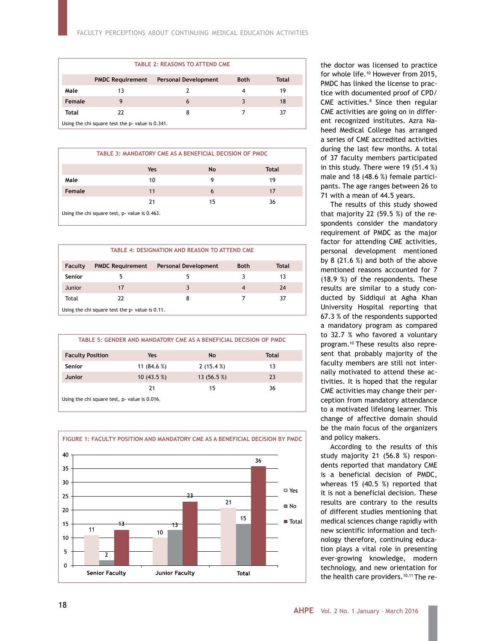| <b>TABLE 2: REASONS TO ATTEND CME</b>                                                 |    |   |   |    |  |
|---------------------------------------------------------------------------------------|----|---|---|----|--|
| <b>Personal Development</b><br><b>Both</b><br><b>PMDC Requirement</b><br><b>Total</b> |    |   |   |    |  |
| Male                                                                                  | 13 |   | 4 | 19 |  |
| Female                                                                                |    | 6 | 3 | 18 |  |
| Total                                                                                 | 22 | 8 |   | 37 |  |
| Using the chi square test the p- value is 0.341.                                      |    |   |   |    |  |

|                                               | TABLE 3: MANDATORY CME AS A BENEFICIAL DECISION OF PMDC |    |              |  |  |
|-----------------------------------------------|---------------------------------------------------------|----|--------------|--|--|
|                                               | Yes                                                     | No | <b>Total</b> |  |  |
| Male                                          | 10                                                      | 9  | 19           |  |  |
| Female                                        | 11                                                      | 6  | 17           |  |  |
|                                               | 21                                                      | 15 | 36           |  |  |
| Using the chi square test, p- value is 0.463. |                                                         |    |              |  |  |

| <b>TABLE 4: DESIGNATION AND REASON TO ATTEND CME</b> |                         |                             |             |       |
|------------------------------------------------------|-------------------------|-----------------------------|-------------|-------|
| Faculty                                              | <b>PMDC Requirement</b> | <b>Personal Development</b> | <b>Both</b> | Total |
| <b>Senior</b>                                        |                         |                             |             | 13    |
| Junior                                               | 17                      |                             | 4           | 24    |
| Total                                                | 22                      | 8                           |             | 37    |
| Using the chi square test the p- value is 0.11.      |                         |                             |             |       |

| TABLE 5: GENDER AND MANDATORY CME AS A BENEFICIAL DECISION OF PMDC |               |              |       |  |  |
|--------------------------------------------------------------------|---------------|--------------|-------|--|--|
| <b>Faculty Position</b>                                            | Yes           | <b>No</b>    | Total |  |  |
| <b>Senior</b>                                                      | 11 $(84.6\%)$ | 2(15.4%)     | 13    |  |  |
| Junior                                                             | 10(43.5%)     | 13 $(56.5%)$ | 23    |  |  |
|                                                                    | 21            | 15           | 36    |  |  |
| Using the chi square test, p- value is 0.016.                      |               |              |       |  |  |



the doctor was licensed to practice for whole life.10 However from 2015, PMDC has linked the license to practice with documented proof of CPD/ CME activities.<sup>8</sup> Since then regular CME activities are going on in different recognized institutes. Azra Naheed Medical College has arranged a series of CME accredited activities during the last few months. A total of 37 faculty members participated in this study. There were 19 (51.4 %) male and 18 (48.6 %) female participants. The age ranges between 26 to 71 with a mean of 44.5 years.

The results of this study showed that majority 22 (59.5 %) of the respondents consider the mandatory requirement of PMDC as the major factor for attending CME activities, personal development mentioned by 8 (21.6 %) and both of the above mentioned reasons accounted for 7 (18.9 %) of the respondents. These results are similar to a study conducted by Siddiqui at Agha Khan University Hospital reporting that 67.3 % of the respondents supported a mandatory program as compared to 32.7 % who favored a voluntary program.10 These results also represent that probably majority of the faculty members are still not internally motivated to attend these activities. It is hoped that the regular CME activities may change their perception from mandatory attendance to a motivated lifelong learner. This change of affective domain should be the main focus of the organizers and policy makers.

According to the results of this study majority 21 (56.8 %) respondents reported that mandatory CME is a beneficial decision of PMDC, whereas 15 (40.5 %) reported that it is not a beneficial decision. These results are contrary to the results of different studies mentioning that medical sciences change rapidly with new scientific information and technology therefore, continuing education plays a vital role in presenting ever-growing knowledge, modern technology, and new orientation for the health care providers.<sup>10,11</sup> The re